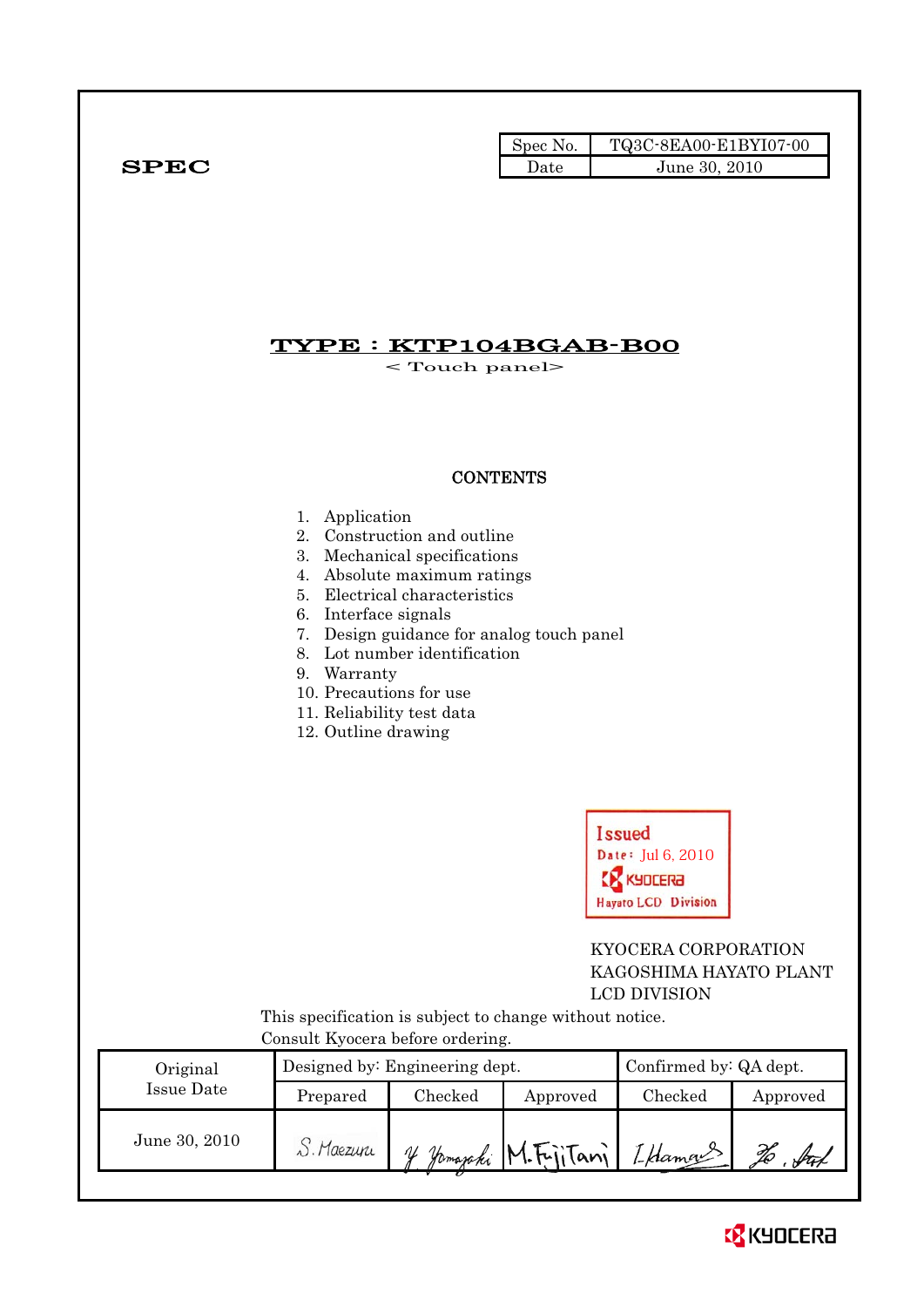|              | Spec No. 1 | TQ3C-8EA00-E1BYI07-00 |
|--------------|------------|-----------------------|
| ${\bf SPEC}$ | Date       | June 30, 2010         |

# TYPE : KTP104BGAB-B00

< Touch panel>

## **CONTENTS**

#### 1. Application

- 2. Construction and outline
- 3. Mechanical specifications
- 4. Absolute maximum ratings
- 5. Electrical characteristics
- 6. Interface signals
- 7. Design guidance for analog touch panel
- 8. Lot number identification
- 9. Warranty
- 10. Precautions for use
- 11. Reliability test data
- 12. Outline drawing



 KYOCERA CORPORATION KAGOSHIMA HAYATO PLANT LCD DIVISION

 This specification is subject to change without notice. Consult Kyocera before ordering.

| Original      |            | Designed by: Engineering dept. | Confirmed by: QA dept. |               |          |
|---------------|------------|--------------------------------|------------------------|---------------|----------|
| Issue Date    | Prepared   | Checked                        | Approved               | $\rm Checked$ | Approved |
| June 30, 2010 | S. Maezuru |                                | Hamajaki M.FriiTani 1  | I Hamans      |          |

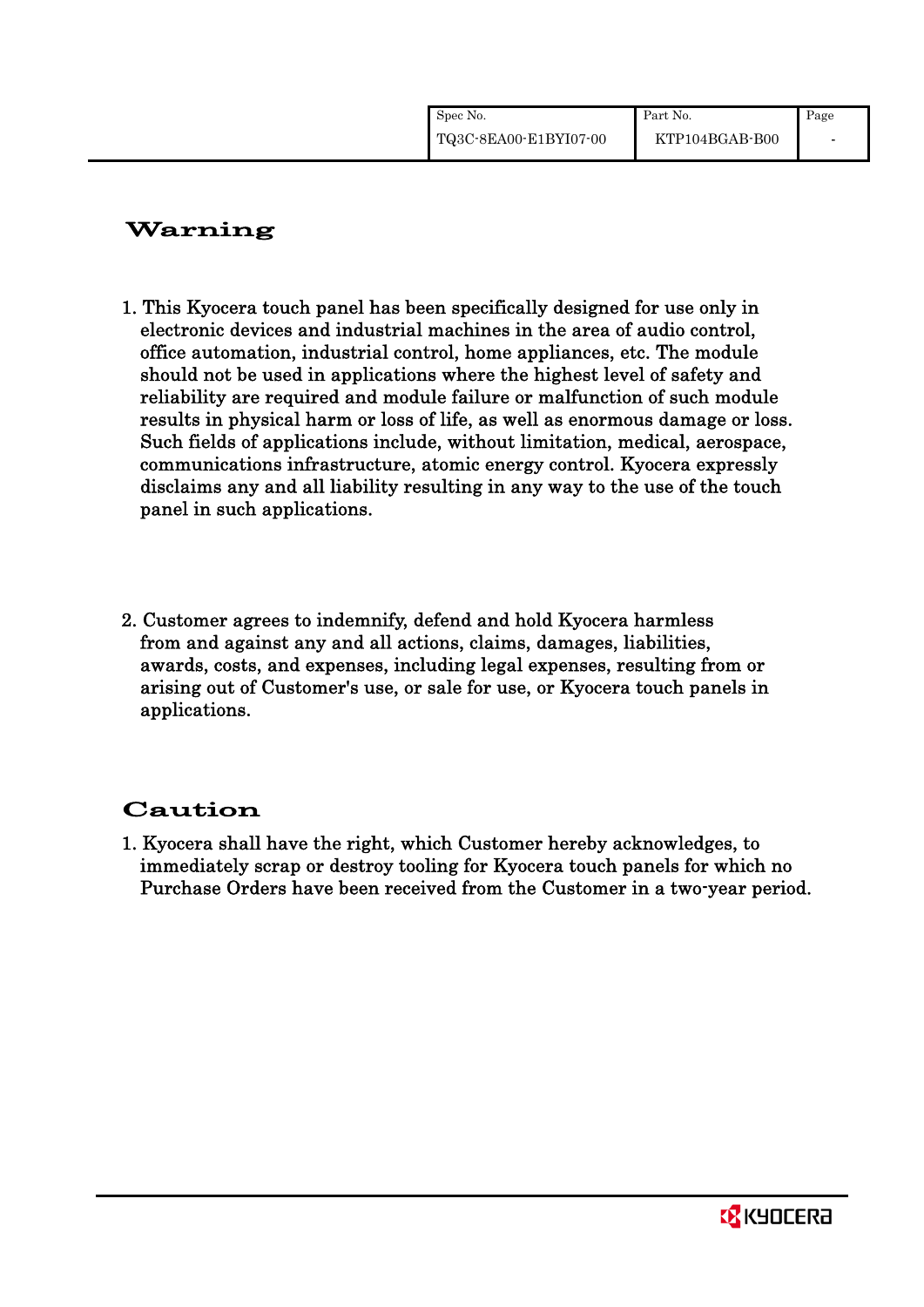| Spec No.              | Part No.       | Page |
|-----------------------|----------------|------|
| TQ3C-8EA00-E1BYI07-00 | KTP104BGAB-B00 |      |

# Warning

- 1. This Kyocera touch panel has been specifically designed for use only in electronic devices and industrial machines in the area of audio control, office automation, industrial control, home appliances, etc. The module should not be used in applications where the highest level of safety and reliability are required and module failure or malfunction of such module results in physical harm or loss of life, as well as enormous damage or loss. Such fields of applications include, without limitation, medical, aerospace, communications infrastructure, atomic energy control. Kyocera expressly disclaims any and all liability resulting in any way to the use of the touch panel in such applications.
- 2. Customer agrees to indemnify, defend and hold Kyocera harmless from and against any and all actions, claims, damages, liabilities, awards, costs, and expenses, including legal expenses, resulting from or arising out of Customer's use, or sale for use, or Kyocera touch panels in applications.

# Caution

1. Kyocera shall have the right, which Customer hereby acknowledges, to immediately scrap or destroy tooling for Kyocera touch panels for which no Purchase Orders have been received from the Customer in a two-year period.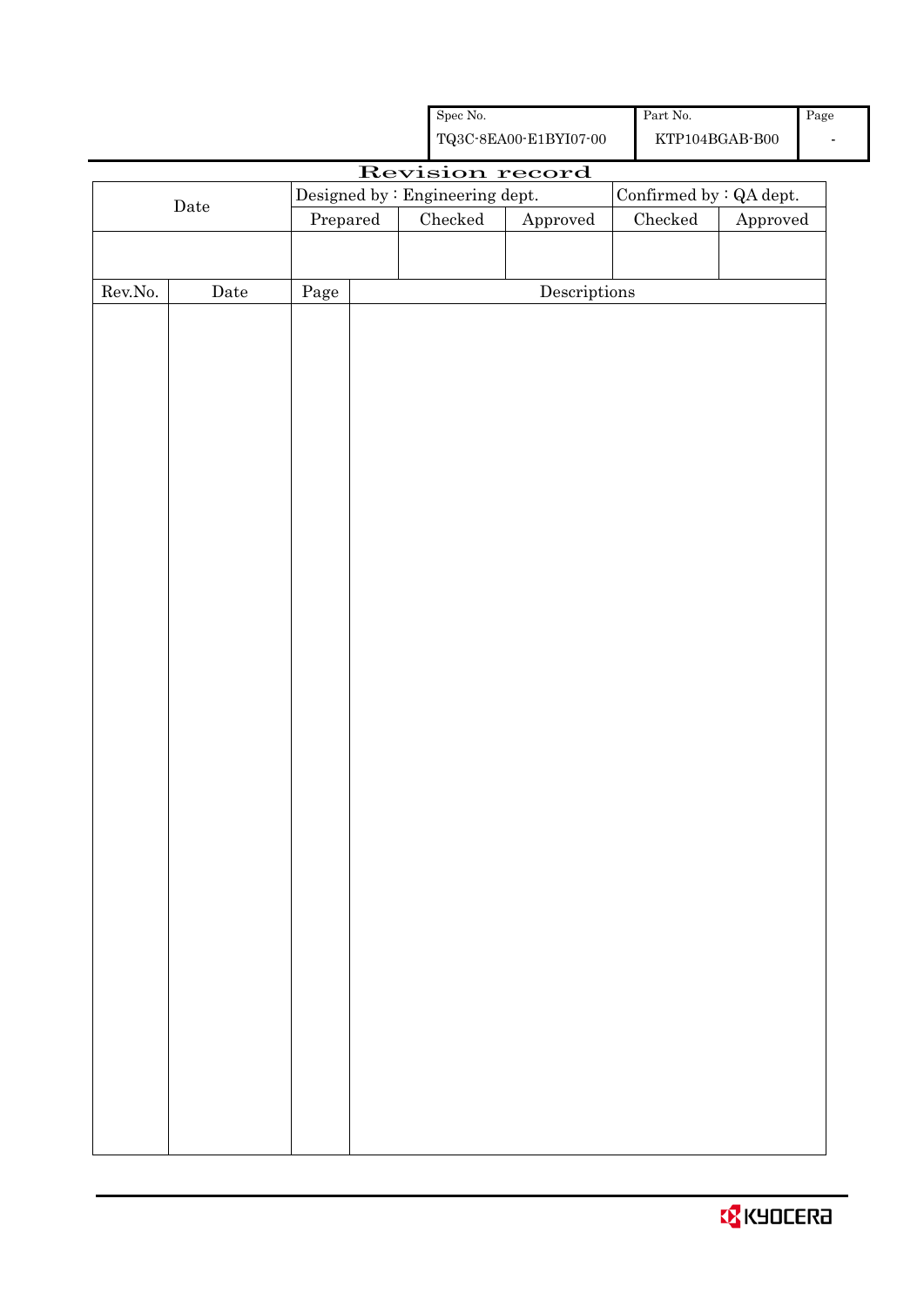|                  |             |            | Spec No.                        |                                                    | Part No.                         |                        | Page |
|------------------|-------------|------------|---------------------------------|----------------------------------------------------|----------------------------------|------------------------|------|
|                  |             |            |                                 | ${\bf TQ3C\text{-}8EAOO\text{-}E1BYI07\text{-}O0}$ | $\mathrm{KTP104BGAB\text{-}B00}$ |                        |      |
|                  |             |            |                                 | Revision record                                    |                                  |                        |      |
|                  |             |            | Designed by : Engineering dept. |                                                    | Confirmed by : QA dept.          |                        |      |
|                  | $\rm{Date}$ | Prepared   | ${\it Checked}$                 | Approved                                           | $\rm Checked$                    | ${\Large\bf Approved}$ |      |
|                  |             |            |                                 |                                                    |                                  |                        |      |
|                  |             |            |                                 |                                                    |                                  |                        |      |
| ${\rm Rev. No.}$ | Date        | $\rm Page$ |                                 | Descriptions                                       |                                  |                        |      |
|                  |             |            |                                 |                                                    |                                  |                        |      |
|                  |             |            |                                 |                                                    |                                  |                        |      |
|                  |             |            |                                 |                                                    |                                  |                        |      |
|                  |             |            |                                 |                                                    |                                  |                        |      |
|                  |             |            |                                 |                                                    |                                  |                        |      |
|                  |             |            |                                 |                                                    |                                  |                        |      |
|                  |             |            |                                 |                                                    |                                  |                        |      |
|                  |             |            |                                 |                                                    |                                  |                        |      |
|                  |             |            |                                 |                                                    |                                  |                        |      |
|                  |             |            |                                 |                                                    |                                  |                        |      |
|                  |             |            |                                 |                                                    |                                  |                        |      |
|                  |             |            |                                 |                                                    |                                  |                        |      |
|                  |             |            |                                 |                                                    |                                  |                        |      |
|                  |             |            |                                 |                                                    |                                  |                        |      |
|                  |             |            |                                 |                                                    |                                  |                        |      |
|                  |             |            |                                 |                                                    |                                  |                        |      |
|                  |             |            |                                 |                                                    |                                  |                        |      |
|                  |             |            |                                 |                                                    |                                  |                        |      |
|                  |             |            |                                 |                                                    |                                  |                        |      |
|                  |             |            |                                 |                                                    |                                  |                        |      |
|                  |             |            |                                 |                                                    |                                  |                        |      |
|                  |             |            |                                 |                                                    |                                  |                        |      |
|                  |             |            |                                 |                                                    |                                  |                        |      |
|                  |             |            |                                 |                                                    |                                  |                        |      |
|                  |             |            |                                 |                                                    |                                  |                        |      |
|                  |             |            |                                 |                                                    |                                  |                        |      |
|                  |             |            |                                 |                                                    |                                  |                        |      |
|                  |             |            |                                 |                                                    |                                  |                        |      |
|                  |             |            |                                 |                                                    |                                  |                        |      |
|                  |             |            |                                 |                                                    |                                  |                        |      |
|                  |             |            |                                 |                                                    |                                  |                        |      |
|                  |             |            |                                 |                                                    |                                  |                        |      |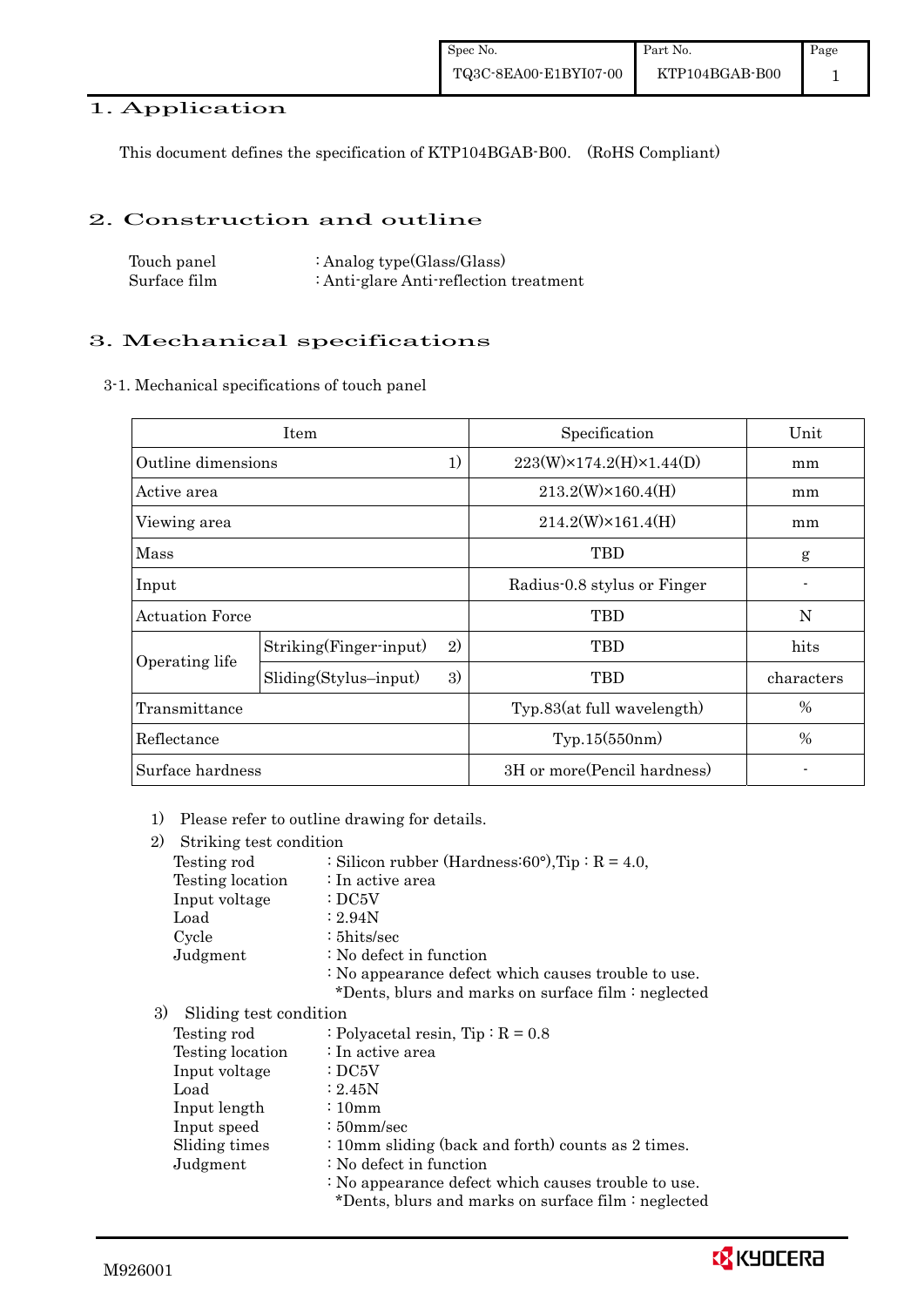### 1. Application

This document defines the specification of KTP104BGAB-B00. (RoHS Compliant)

#### 2. Construction and outline

Touch panel Surface film : Analog type(Glass/Glass) : Anti-glare Anti-reflection treatment

### 3. Mechanical specifications

3-1. Mechanical specifications of touch panel

|                          | Item                          | Specification                           | Unit       |
|--------------------------|-------------------------------|-----------------------------------------|------------|
| 1)<br>Outline dimensions |                               | $223(W) \times 174.2(H) \times 1.44(D)$ | mm         |
| Active area              |                               | $213.2(W)\times 160.4(H)$               | mm         |
| Viewing area             |                               | $214.2(W)\times 161.4(H)$               | mm         |
| Mass                     |                               | TBD                                     | g          |
| Input                    |                               | Radius-0.8 stylus or Finger             |            |
| <b>Actuation Force</b>   |                               | TBD                                     | N          |
|                          | 2)<br>Striking(Finger-input)  | TBD                                     | hits       |
| Operating life           | 3)<br>$Sliding(Stylus-input)$ | TBD                                     | characters |
| Transmittance            |                               | Typ.83(at full wavelength)              | %          |
| Reflectance              |                               | Typ.15(550nm)                           | %          |
| Surface hardness         |                               | 3H or more (Pencil hardness)            |            |

1) Please refer to outline drawing for details.

| 2)<br>Striking test condition |                                                                                                            |
|-------------------------------|------------------------------------------------------------------------------------------------------------|
| Testing rod                   | : Silicon rubber (Hardness: 60°), Tip: $R = 4.0$ ,                                                         |
| Testing location              | $\therefore$ In active area                                                                                |
| Input voltage                 | $\therefore$ DC5V                                                                                          |
| Load                          | : 2.94N                                                                                                    |
| Cycle                         | $: 5 \text{hits/sec}$                                                                                      |
| Judgment                      | : No defect in function                                                                                    |
|                               | : No appearance defect which causes trouble to use.<br>*Dents, blurs and marks on surface film : neglected |
| 3)<br>Sliding test condition  |                                                                                                            |
| Testing rod                   | : Polyacetal resin, $Tip: R = 0.8$                                                                         |
| Testing location              | : In active area                                                                                           |
| Input voltage                 | $\cdot$ DC5V                                                                                               |
| Load                          | $\approx 2.45N$                                                                                            |
| Input length                  | $\div 10$ mm                                                                                               |
| Input speed                   | $\div$ 50 mm/sec                                                                                           |
|                               |                                                                                                            |

Sliding times : 10mm sliding (back and forth) counts as 2 times.

Judgment : No defect in function

: No appearance defect which causes trouble to use.

\*Dents, blurs and marks on surface film : neglected

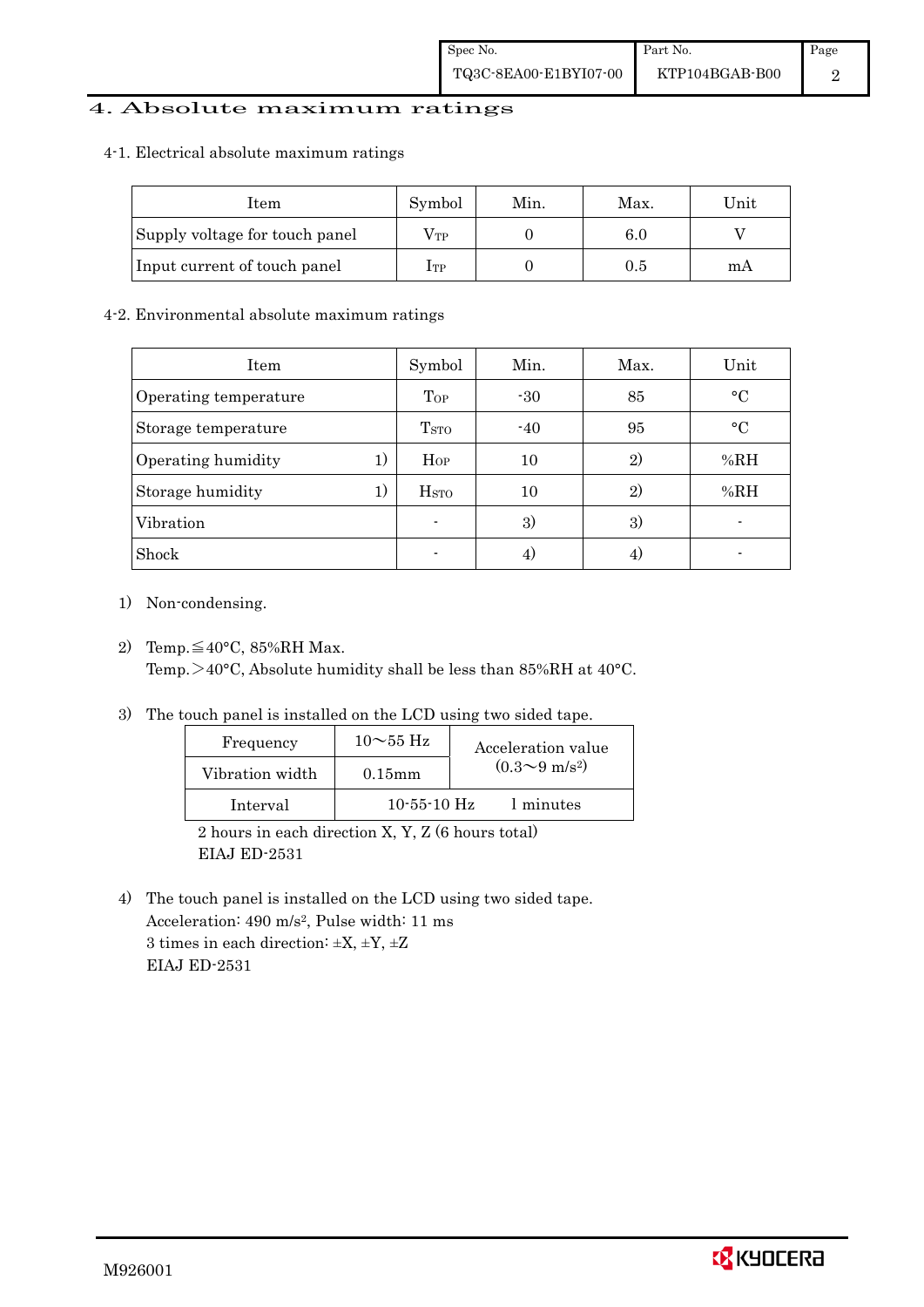### 4. Absolute maximum ratings

#### 4-1. Electrical absolute maximum ratings

| Item                           | Symbol | Min. | Max.    | Unit |
|--------------------------------|--------|------|---------|------|
| Supply voltage for touch panel | Vтр    |      | $6.0\,$ |      |
| Input current of touch panel   | Iтр    |      | 0.5     | mА   |

#### 4-2. Environmental absolute maximum ratings

| Item                  |    | Symbol                  | Min.  | Max.         | Unit      |
|-----------------------|----|-------------------------|-------|--------------|-----------|
| Operating temperature |    | Top                     | $-30$ | 85           | $\circ$ C |
| Storage temperature   |    | T <sub>STO</sub>        | $-40$ | 95           | $\circ$ C |
| Operating humidity    | 1) | $H_{OP}$                | 10    | $\mathbf{2}$ | %RH       |
| Storage humidity      | 1) | <b>H</b> <sub>STO</sub> | 10    | $\mathbf{2}$ | %RH       |
| Vibration             |    | $\blacksquare$          | 3)    | 3)           |           |
| Shock                 |    | ٠                       |       |              |           |

- 1) Non-condensing.
- 2) Temp. $\leq 40^{\circ}$ C, 85%RH Max. Temp.>40°C, Absolute humidity shall be less than 85%RH at 40°C.
- 3) The touch panel is installed on the LCD using two sided tape.

| Frequency       | $10\sim$ 55 Hz | Acceleration value           |
|-----------------|----------------|------------------------------|
| Vibration width | $0.15$ mm      | $(0.3 \sim 9 \text{ m/s}^2)$ |
| Interval        | $10-55-10$ Hz  | 1 minutes                    |

 2 hours in each direction X, Y, Z (6 hours total) EIAJ ED-2531

4) The touch panel is installed on the LCD using two sided tape. Acceleration: 490 m/s2, Pulse width: 11 ms 3 times in each direction:  $\pm X$ ,  $\pm Y$ ,  $\pm Z$ EIAJ ED-2531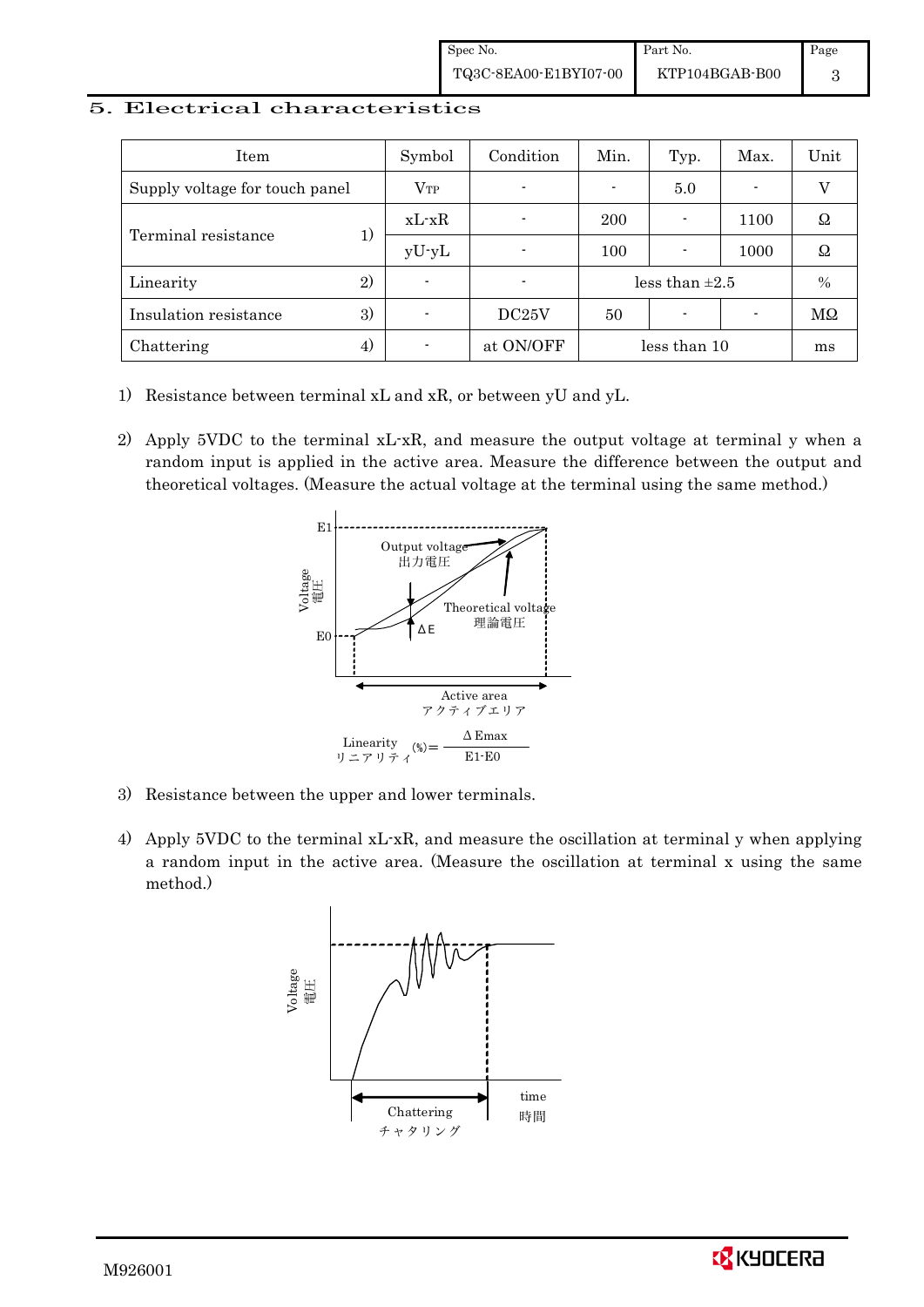#### 5. Electrical characteristics

| Item                           | Symbol   | Condition      | Min.                | Typ. | Max.                     | Unit      |
|--------------------------------|----------|----------------|---------------------|------|--------------------------|-----------|
| Supply voltage for touch panel | $V_{TP}$ | $\blacksquare$ |                     | 5.0  | $\overline{\phantom{0}}$ |           |
| Terminal resistance            | $xL-xR$  |                | 200                 |      | 1100                     | Ω         |
|                                | $yU-yL$  | $\blacksquare$ | 100                 |      | 1000                     | Ω         |
| 2)<br>Linearity                |          |                | less than $\pm 2.5$ |      | $\frac{0}{0}$            |           |
| 3)<br>Insulation resistance    | -        | DC25V          | 50                  |      |                          | $M\Omega$ |
| 4)<br>Chattering               |          | at ON/OFF      | less than 10        |      | ms                       |           |

- 1) Resistance between terminal xL and xR, or between yU and yL.
- 2) Apply 5VDC to the terminal xL-xR, and measure the output voltage at terminal y when a random input is applied in the active area. Measure the difference between the output and theoretical voltages. (Measure the actual voltage at the terminal using the same method.)



- 3) Resistance between the upper and lower terminals.
- 4) Apply 5VDC to the terminal xL-xR, and measure the oscillation at terminal y when applying a random input in the active area. (Measure the oscillation at terminal x using the same method.)



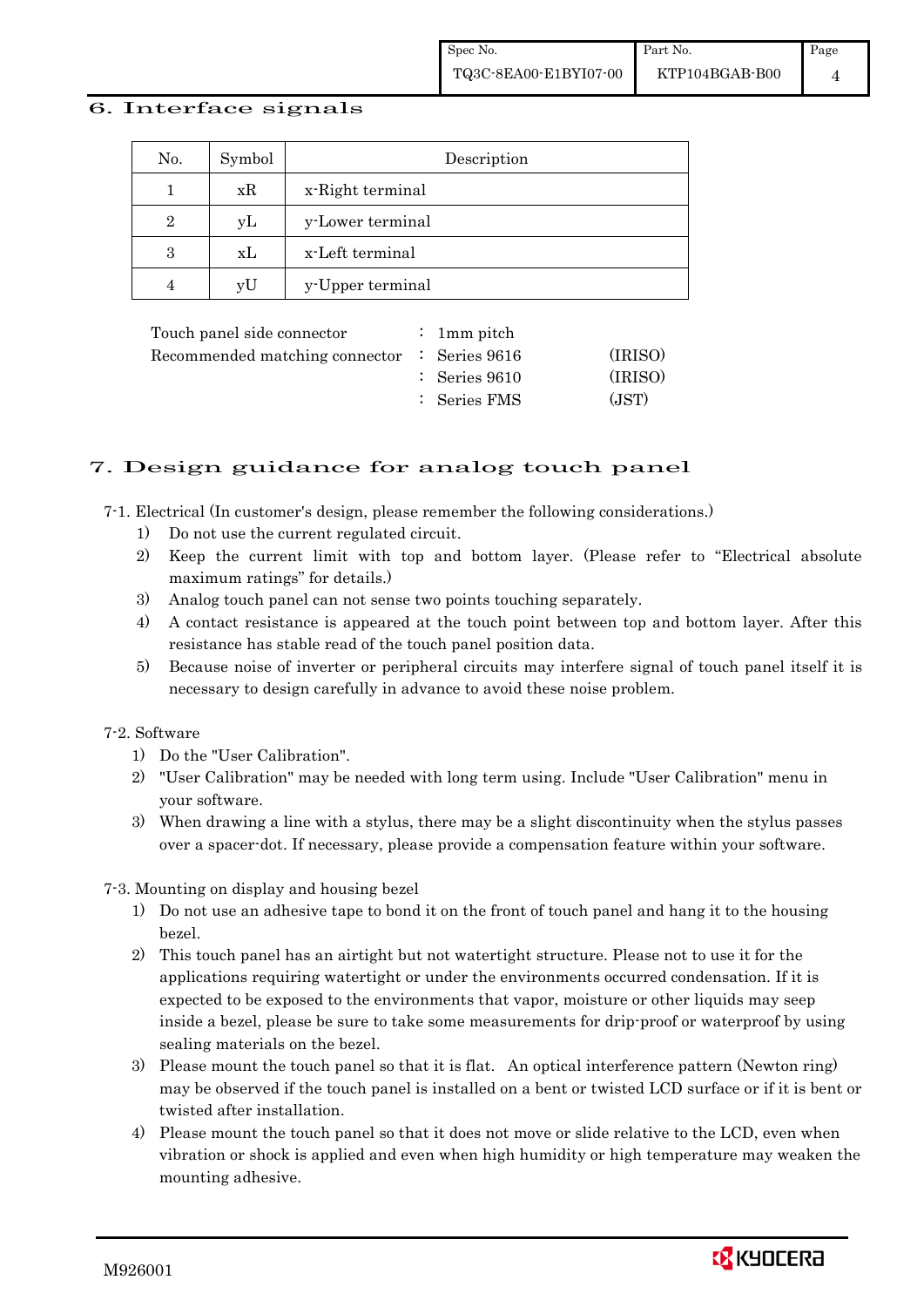#### 6. Interface signals

| No.            | Symbol | Description      |
|----------------|--------|------------------|
|                | xR     | x-Right terminal |
| $\overline{2}$ | yL     | y-Lower terminal |
| 3              | xL     | x-Left terminal  |
|                | vU     | y-Upper terminal |

| Touch panel side connector                              | : 1 mm pitch             |         |
|---------------------------------------------------------|--------------------------|---------|
| Recommended matching connector $\therefore$ Series 9616 |                          | (IRISO) |
|                                                         | $\therefore$ Series 9610 | (IRISO) |
|                                                         | : Series FMS             | (JST)   |

## 7. Design guidance for analog touch panel

7-1. Electrical (In customer's design, please remember the following considerations.)

- 1) Do not use the current regulated circuit.
- 2) Keep the current limit with top and bottom layer. (Please refer to "Electrical absolute maximum ratings" for details.)
- 3) Analog touch panel can not sense two points touching separately.
- 4) A contact resistance is appeared at the touch point between top and bottom layer. After this resistance has stable read of the touch panel position data.
- 5) Because noise of inverter or peripheral circuits may interfere signal of touch panel itself it is necessary to design carefully in advance to avoid these noise problem.

### 7-2. Software

- 1) Do the "User Calibration".
- 2) "User Calibration" may be needed with long term using. Include "User Calibration" menu in your software.
- 3) When drawing a line with a stylus, there may be a slight discontinuity when the stylus passes over a spacer-dot. If necessary, please provide a compensation feature within your software.

7-3. Mounting on display and housing bezel

- 1) Do not use an adhesive tape to bond it on the front of touch panel and hang it to the housing bezel.
- 2) This touch panel has an airtight but not watertight structure. Please not to use it for the applications requiring watertight or under the environments occurred condensation. If it is expected to be exposed to the environments that vapor, moisture or other liquids may seep inside a bezel, please be sure to take some measurements for drip-proof or waterproof by using sealing materials on the bezel.
- 3) Please mount the touch panel so that it is flat. An optical interference pattern (Newton ring) may be observed if the touch panel is installed on a bent or twisted LCD surface or if it is bent or twisted after installation.
- 4) Please mount the touch panel so that it does not move or slide relative to the LCD, even when vibration or shock is applied and even when high humidity or high temperature may weaken the mounting adhesive.

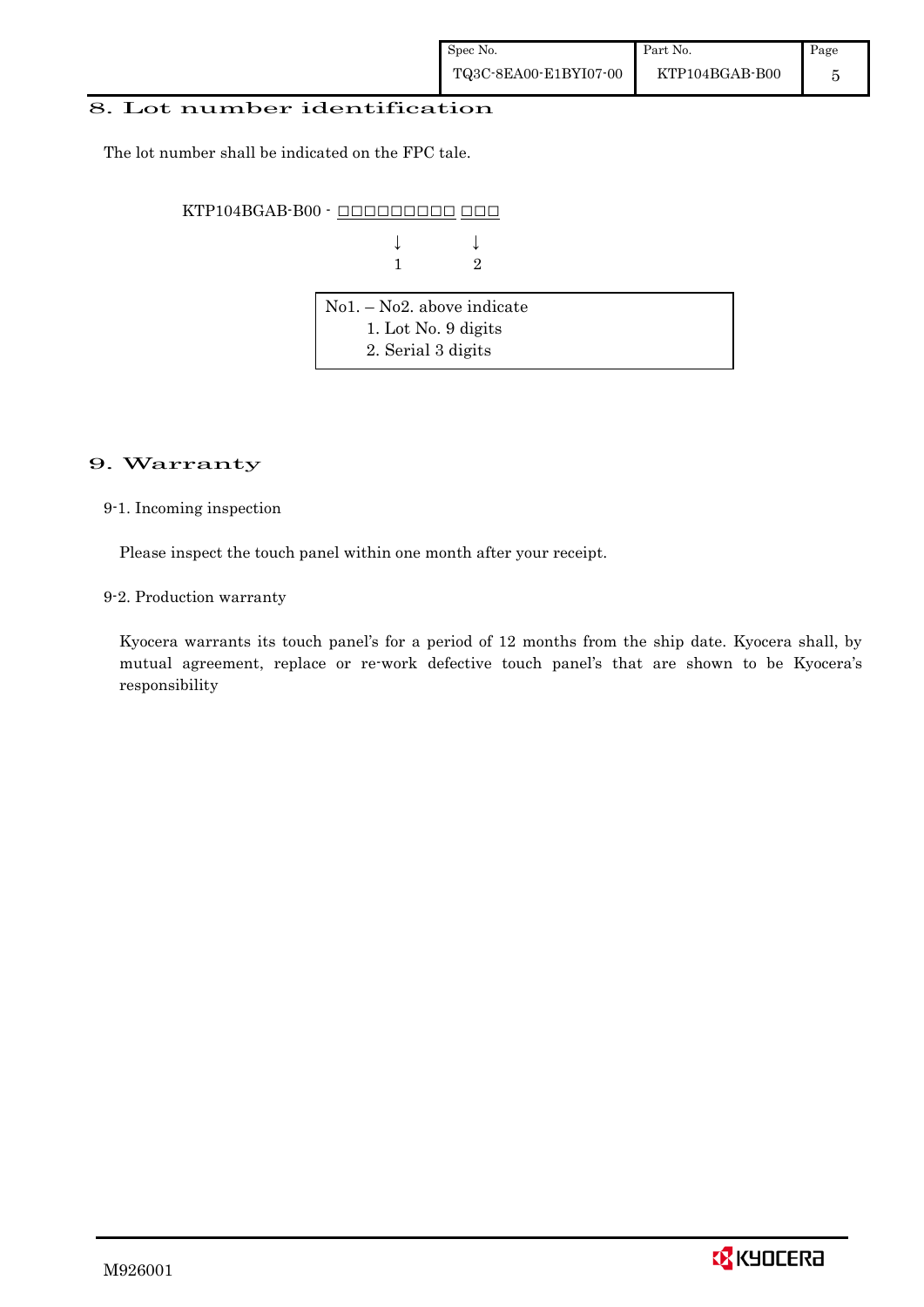#### 8. Lot number identification

The lot number shall be indicated on the FPC tale.

KTP104BGAB-B00 - OOOOOOOOOO OOO

| $\downarrow$ $\qquad \qquad \downarrow$ |  |
|-----------------------------------------|--|
| $1 \qquad \qquad 2$                     |  |

| $\vert$ No1. – No2. above indicate |  |
|------------------------------------|--|
| 1. Lot No. 9 digits                |  |
| 2. Serial 3 digits                 |  |

### 9. Warranty

9-1. Incoming inspection

Please inspect the touch panel within one month after your receipt.

9-2. Production warranty

 Kyocera warrants its touch panel's for a period of 12 months from the ship date. Kyocera shall, by mutual agreement, replace or re-work defective touch panel's that are shown to be Kyocera's responsibility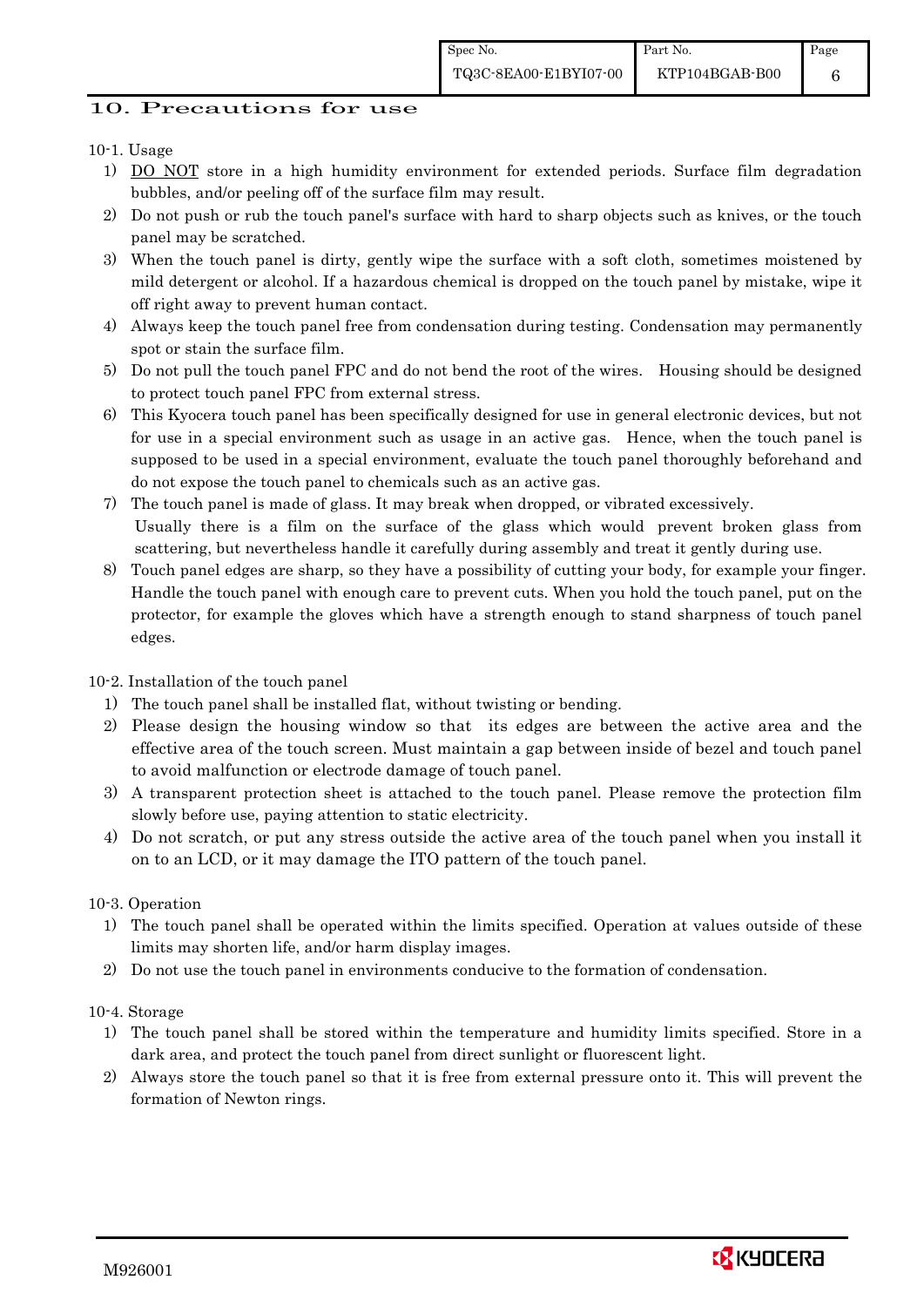6

# 10. Precautions for use

# 10-1. Usage

- 1) DO NOT store in a high humidity environment for extended periods. Surface film degradation bubbles, and/or peeling off of the surface film may result.
- 2) Do not push or rub the touch panel's surface with hard to sharp objects such as knives, or the touch panel may be scratched.
- 3) When the touch panel is dirty, gently wipe the surface with a soft cloth, sometimes moistened by mild detergent or alcohol. If a hazardous chemical is dropped on the touch panel by mistake, wipe it off right away to prevent human contact.
- 4) Always keep the touch panel free from condensation during testing. Condensation may permanently spot or stain the surface film.
- 5) Do not pull the touch panel FPC and do not bend the root of the wires. Housing should be designed to protect touch panel FPC from external stress.
- 6) This Kyocera touch panel has been specifically designed for use in general electronic devices, but not for use in a special environment such as usage in an active gas. Hence, when the touch panel is supposed to be used in a special environment, evaluate the touch panel thoroughly beforehand and do not expose the touch panel to chemicals such as an active gas.
- 7) The touch panel is made of glass. It may break when dropped, or vibrated excessively. Usually there is a film on the surface of the glass which would prevent broken glass from scattering, but nevertheless handle it carefully during assembly and treat it gently during use.
- 8) Touch panel edges are sharp, so they have a possibility of cutting your body, for example your finger. Handle the touch panel with enough care to prevent cuts. When you hold the touch panel, put on the protector, for example the gloves which have a strength enough to stand sharpness of touch panel edges.

### 10-2. Installation of the touch panel

- 1) The touch panel shall be installed flat, without twisting or bending.
- 2) Please design the housing window so that its edges are between the active area and the effective area of the touch screen. Must maintain a gap between inside of bezel and touch panel to avoid malfunction or electrode damage of touch panel.
- 3) A transparent protection sheet is attached to the touch panel. Please remove the protection film slowly before use, paying attention to static electricity.
- 4) Do not scratch, or put any stress outside the active area of the touch panel when you install it on to an LCD, or it may damage the ITO pattern of the touch panel.

### 10-3. Operation

- 1) The touch panel shall be operated within the limits specified. Operation at values outside of these limits may shorten life, and/or harm display images.
- 2) Do not use the touch panel in environments conducive to the formation of condensation.

### 10-4. Storage

- 1) The touch panel shall be stored within the temperature and humidity limits specified. Store in a dark area, and protect the touch panel from direct sunlight or fluorescent light.
- 2) Always store the touch panel so that it is free from external pressure onto it. This will prevent the formation of Newton rings.

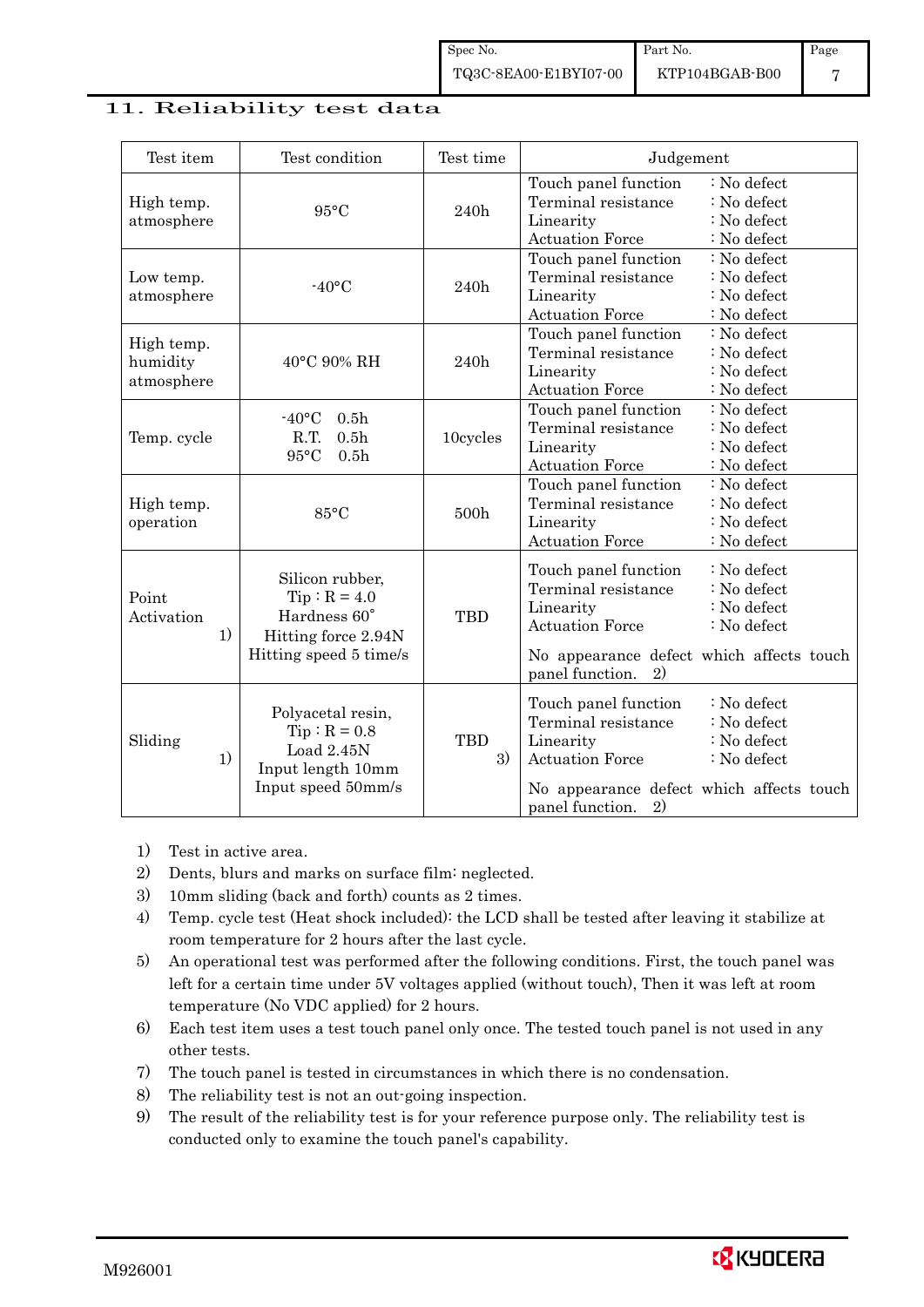### 11. Reliability test data

| Test item                            | Test condition                                                                                     | Test time        | Judgement                                                                                                                                                                                                           |
|--------------------------------------|----------------------------------------------------------------------------------------------------|------------------|---------------------------------------------------------------------------------------------------------------------------------------------------------------------------------------------------------------------|
| High temp.<br>atmosphere             | $95^{\circ}$ C                                                                                     | 240h             | Touch panel function<br>: No defect<br>Terminal resistance<br>: No defect<br>: No defect<br>Linearity<br><b>Actuation Force</b><br>: No defect                                                                      |
| Low temp.<br>atmosphere              | $-40$ °C                                                                                           | 240h             | Touch panel function<br>: No defect<br>Terminal resistance<br>: No defect<br>Linearity<br>: No defect<br><b>Actuation Force</b><br>: No defect                                                                      |
| High temp.<br>humidity<br>atmosphere | 40°C 90% RH                                                                                        | 240h             | Touch panel function<br>: No defect<br>Terminal resistance<br>: No defect<br>: No defect<br>Linearity<br><b>Actuation Force</b><br>: No defect                                                                      |
| Temp. cycle                          | $-40$ °C<br>0.5 <sub>h</sub><br>R.T.<br>0.5 <sub>h</sub><br>95°C<br>0.5 <sub>h</sub>               | 10cycles         | Touch panel function<br>: No defect<br>Terminal resistance<br>: No defect<br>Linearity<br>: No defect<br><b>Actuation Force</b><br>: No defect                                                                      |
| High temp.<br>operation              | $85^{\circ}$ C                                                                                     | 500h             | Touch panel function<br>: No defect<br>Terminal resistance<br>: No defect<br>Linearity<br>: No defect<br><b>Actuation Force</b><br>: No defect                                                                      |
| Point<br>Activation<br>1)            | Silicon rubber,<br>$Tip: R = 4.0$<br>Hardness 60°<br>Hitting force 2.94N<br>Hitting speed 5 time/s | <b>TBD</b>       | Touch panel function<br>: No defect<br>Terminal resistance<br>: No defect<br>Linearity<br>: No defect<br><b>Actuation Force</b><br>: No defect<br>No appearance defect which affects touch<br>panel function.<br>2) |
| Sliding<br>1)                        | Polyacetal resin,<br>$Tip: R = 0.8$<br>Load 2.45N<br>Input length 10mm<br>Input speed 50mm/s       | <b>TBD</b><br>3) | : No defect<br>Touch panel function<br>Terminal resistance<br>: No defect<br>Linearity<br>: No defect<br><b>Actuation Force</b><br>: No defect<br>No appearance defect which affects touch<br>2)<br>panel function. |

- 1) Test in active area.
- 2) Dents, blurs and marks on surface film: neglected.
- 3) 10mm sliding (back and forth) counts as 2 times.
- 4) Temp. cycle test (Heat shock included): the LCD shall be tested after leaving it stabilize at room temperature for 2 hours after the last cycle.
- 5) An operational test was performed after the following conditions. First, the touch panel was left for a certain time under 5V voltages applied (without touch), Then it was left at room temperature (No VDC applied) for 2 hours.
- 6) Each test item uses a test touch panel only once. The tested touch panel is not used in any other tests.
- 7) The touch panel is tested in circumstances in which there is no condensation.
- 8) The reliability test is not an out-going inspection.
- 9) The result of the reliability test is for your reference purpose only. The reliability test is conducted only to examine the touch panel's capability.

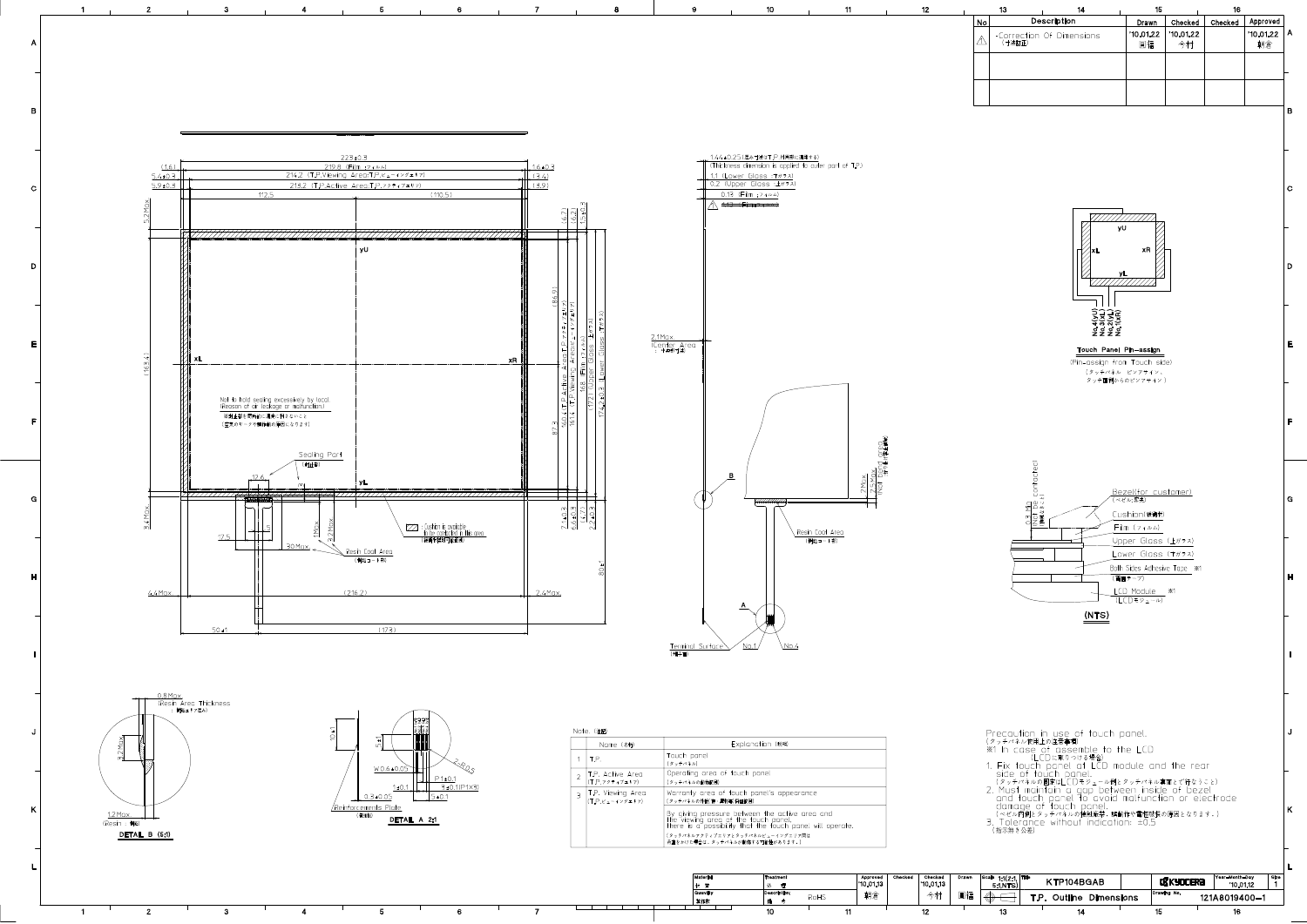

 $\mathbf{z}$ 

 $\mathbf{1}$ 

製作数  $\bullet$   $\bullet$ 10  $11$ 

 $\overline{7}$ 

朝倉

RoHS

圓福 今村

 $12$ 

 $\oplus$ 

13  $14$ 15

121A8019400-1

 $16$ 

T.P. Outline Dimensions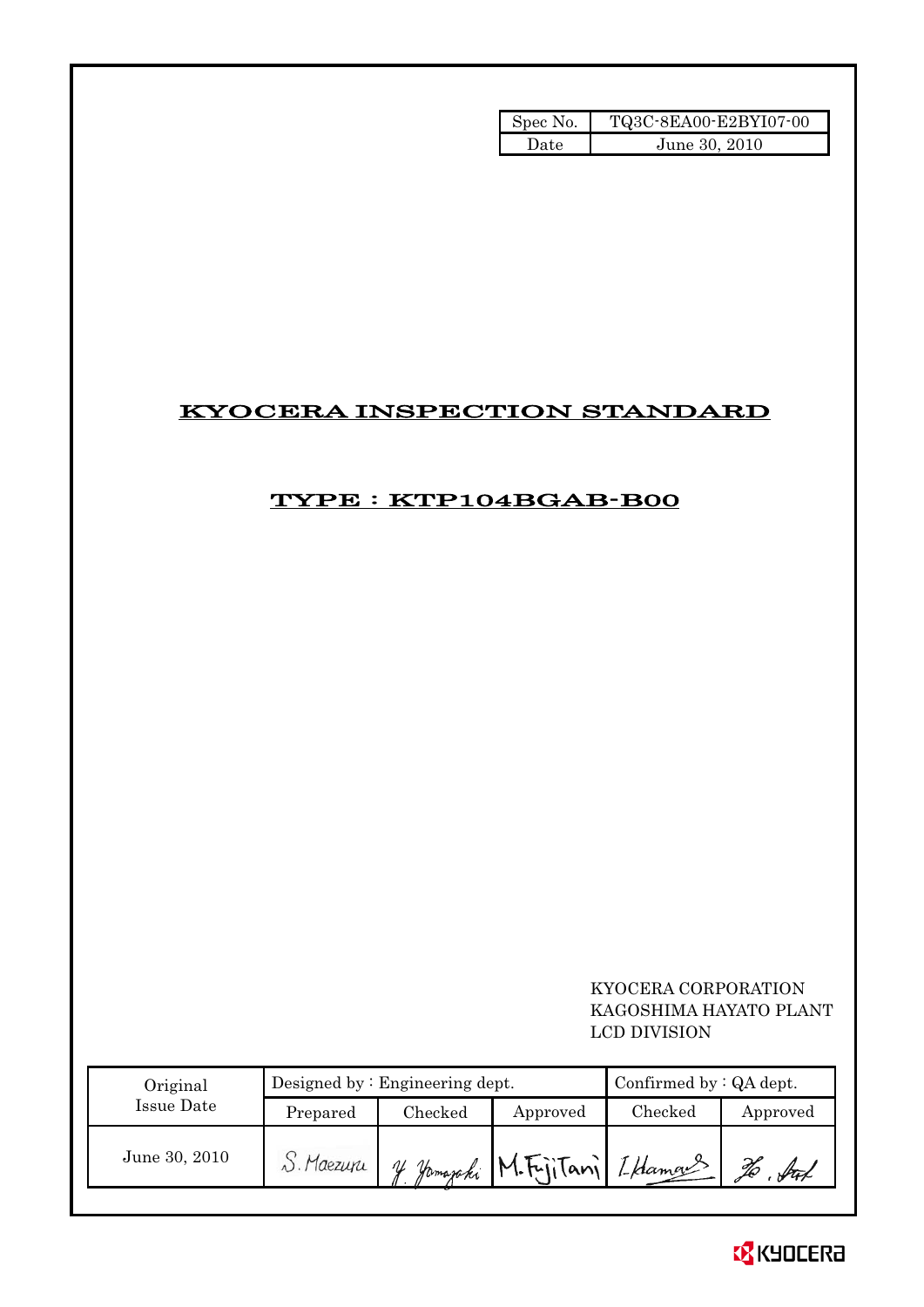| Spec No. | TQ3C-8EA00-E2BYI07-00 |
|----------|-----------------------|
| Date     | June 30, 2010         |

# KYOCERA INSPECTION STANDARD

# TYPE : KTP104BGAB-B00

 KYOCERA CORPORATION KAGOSHIMA HAYATO PLANT LCD DIVISION

| Original      | Designed by $:$ Engineering dept. |         |                              | Confirmed by $:QA$ dept. |          |
|---------------|-----------------------------------|---------|------------------------------|--------------------------|----------|
| Issue Date    | Prepared                          | Checked | Approved                     | Checked                  | Approved |
| June 30, 2010 | S. Maezupi                        |         | y Jamaraki M.Fritani Iklaman |                          | Stad     |

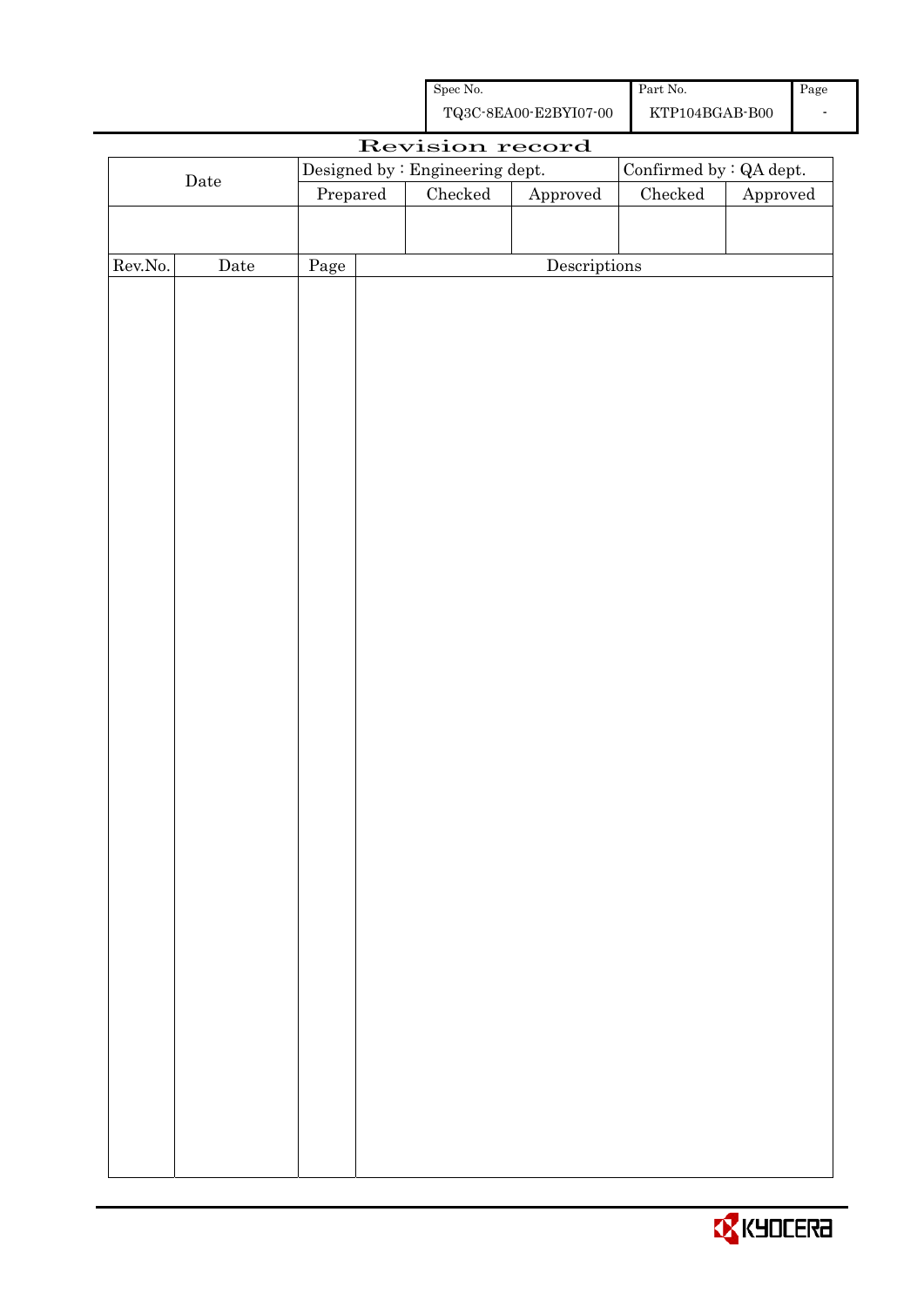| Spec No.              | Part No.       | Page |
|-----------------------|----------------|------|
| TQ3C-8EA00-E2BYI07-00 | KTP104BGAB-B00 |      |

|                                                             |                      |          | Revision record |              |               |                        |
|-------------------------------------------------------------|----------------------|----------|-----------------|--------------|---------------|------------------------|
| Confirmed by $:QA$ dept.<br>Designed by : Engineering dept. |                      |          |                 |              |               |                        |
|                                                             | $\rm{\textbf{Date}}$ | Prepared | Checked         | Approved     | $\rm Checked$ | ${\Large\bf Approved}$ |
|                                                             |                      |          |                 |              |               |                        |
|                                                             |                      |          |                 |              |               |                        |
| Rev.No.                                                     | $\rm{\textbf{Date}}$ | Page     |                 | Descriptions |               |                        |
|                                                             |                      |          |                 |              |               |                        |
|                                                             |                      |          |                 |              |               |                        |
|                                                             |                      |          |                 |              |               |                        |
|                                                             |                      |          |                 |              |               |                        |
|                                                             |                      |          |                 |              |               |                        |
|                                                             |                      |          |                 |              |               |                        |
|                                                             |                      |          |                 |              |               |                        |
|                                                             |                      |          |                 |              |               |                        |
|                                                             |                      |          |                 |              |               |                        |
|                                                             |                      |          |                 |              |               |                        |
|                                                             |                      |          |                 |              |               |                        |
|                                                             |                      |          |                 |              |               |                        |
|                                                             |                      |          |                 |              |               |                        |
|                                                             |                      |          |                 |              |               |                        |
|                                                             |                      |          |                 |              |               |                        |
|                                                             |                      |          |                 |              |               |                        |
|                                                             |                      |          |                 |              |               |                        |
|                                                             |                      |          |                 |              |               |                        |
|                                                             |                      |          |                 |              |               |                        |
|                                                             |                      |          |                 |              |               |                        |
|                                                             |                      |          |                 |              |               |                        |
|                                                             |                      |          |                 |              |               |                        |
|                                                             |                      |          |                 |              |               |                        |
|                                                             |                      |          |                 |              |               |                        |
|                                                             |                      |          |                 |              |               |                        |
|                                                             |                      |          |                 |              |               |                        |
|                                                             |                      |          |                 |              |               |                        |
|                                                             |                      |          |                 |              |               |                        |
|                                                             |                      |          |                 |              |               |                        |
|                                                             |                      |          |                 |              |               |                        |
|                                                             |                      |          |                 |              |               |                        |
|                                                             |                      |          |                 |              |               |                        |
|                                                             |                      |          |                 |              |               |                        |
|                                                             |                      |          |                 |              |               |                        |
|                                                             |                      |          |                 |              |               |                        |
|                                                             |                      |          |                 |              |               |                        |
|                                                             |                      |          |                 |              |               |                        |

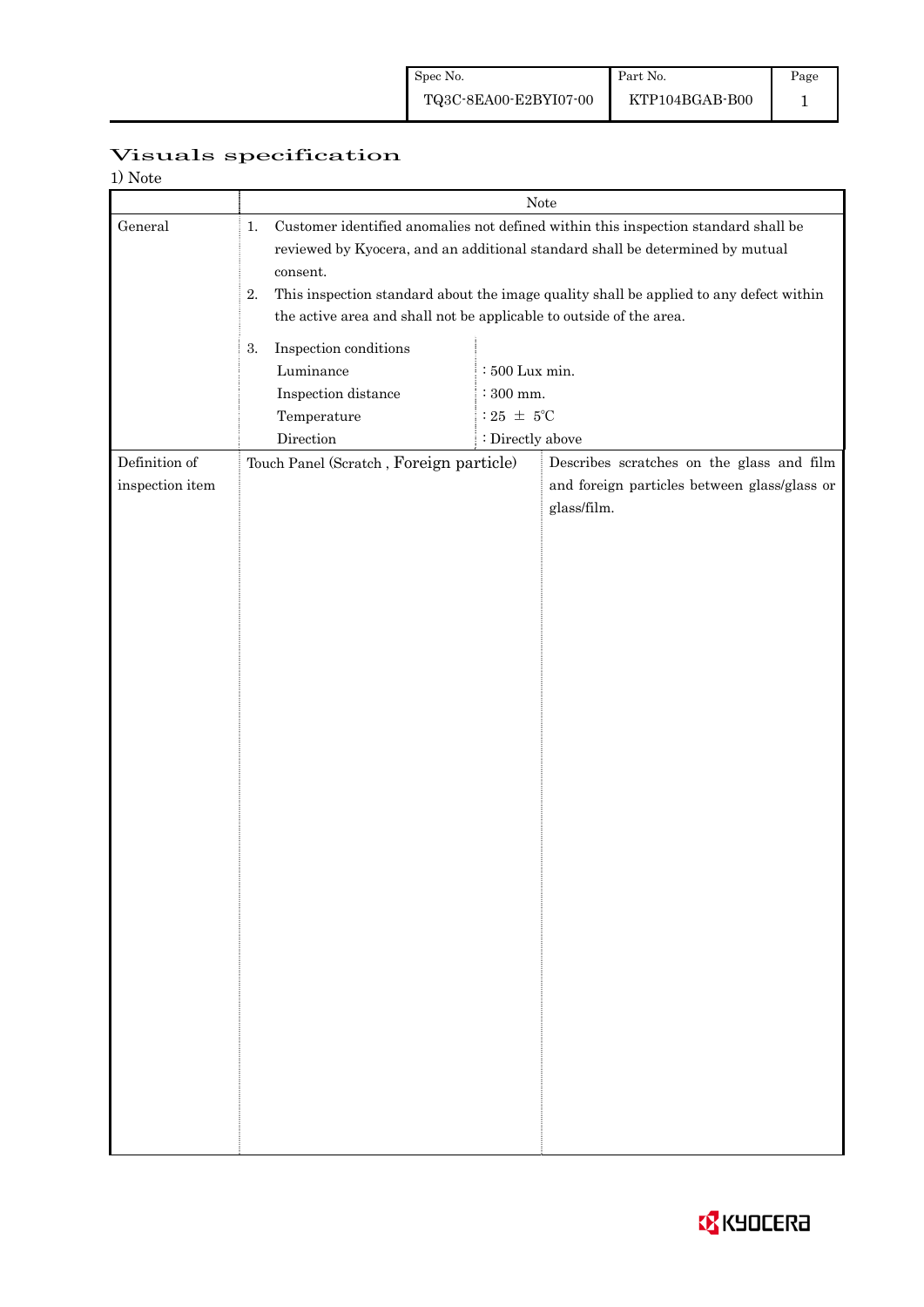| Visuals specification |
|-----------------------|
|                       |

| 1) Note                          |                                                                                                                                                                                                                                                                                                                                                              |                                                                               |                                                                                                          |  |  |
|----------------------------------|--------------------------------------------------------------------------------------------------------------------------------------------------------------------------------------------------------------------------------------------------------------------------------------------------------------------------------------------------------------|-------------------------------------------------------------------------------|----------------------------------------------------------------------------------------------------------|--|--|
|                                  | Note                                                                                                                                                                                                                                                                                                                                                         |                                                                               |                                                                                                          |  |  |
| General                          | Customer identified anomalies not defined within this inspection standard shall be<br>1.<br>reviewed by Kyocera, and an additional standard shall be determined by mutual<br>consent.<br>This inspection standard about the image quality shall be applied to any defect within<br>2.<br>the active area and shall not be applicable to outside of the area. |                                                                               |                                                                                                          |  |  |
|                                  | Inspection conditions<br>3.<br>Luminance<br>Inspection distance<br>Temperature<br>Direction                                                                                                                                                                                                                                                                  | $:500$ Lux min.<br>$\therefore 300$ mm.<br>: 25 $\pm$ 5°C<br>: Directly above |                                                                                                          |  |  |
| Definition of<br>inspection item | Touch Panel (Scratch, Foreign particle)                                                                                                                                                                                                                                                                                                                      |                                                                               | Describes scratches on the glass and film<br>and foreign particles between glass/glass or<br>glass/film. |  |  |
|                                  |                                                                                                                                                                                                                                                                                                                                                              |                                                                               |                                                                                                          |  |  |